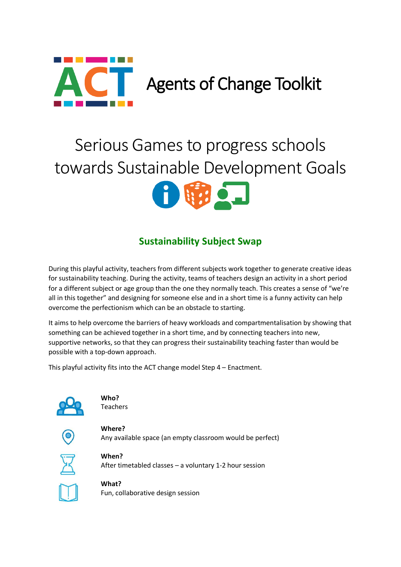

# Serious Games to progress schools towards Sustainable Development Goals



# **Sustainability Subject Swap**

During this playful activity, teachers from different subjects work together to generate creative ideas for sustainability teaching. During the activity, teams of teachers design an activity in a short period for a different subject or age group than the one they normally teach. This creates a sense of "we're all in this together" and designing for someone else and in a short time is a funny activity can help overcome the perfectionism which can be an obstacle to starting.

It aims to help overcome the barriers of heavy workloads and compartmentalisation by showing that something can be achieved together in a short time, and by connecting teachers into new, supportive networks, so that they can progress their sustainability teaching faster than would be possible with a top-down approach.

This playful activity fits into the ACT change model Step 4 – Enactment.



**Who?** Teachers

**Where?** Any available space (an empty classroom would be perfect)



**When?** After timetabled classes – a voluntary 1-2 hour session

**What?** Fun, collaborative design session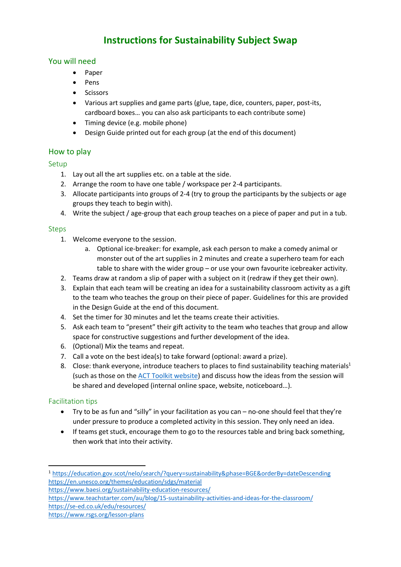# **Instructions for Sustainability Subject Swap**

## You will need

- Paper
- Pens
- Scissors
- Various art supplies and game parts (glue, tape, dice, counters, paper, post-its, cardboard boxes… you can also ask participants to each contribute some)
- Timing device (e.g. mobile phone)
- Design Guide printed out for each group (at the end of this document)

#### How to play

#### Setup

- 1. Lay out all the art supplies etc. on a table at the side.
- 2. Arrange the room to have one table / workspace per 2-4 participants.
- 3. Allocate participants into groups of 2-4 (try to group the participants by the subjects or age groups they teach to begin with).
- 4. Write the subject / age-group that each group teaches on a piece of paper and put in a tub.

#### Steps

- 1. Welcome everyone to the session.
	- a. Optional ice-breaker: for example, ask each person to make a comedy animal or monster out of the art supplies in 2 minutes and create a superhero team for each table to share with the wider group – or use your own favourite icebreaker activity.
- 2. Teams draw at random a slip of paper with a subject on it (redraw if they get their own).
- 3. Explain that each team will be creating an idea for a sustainability classroom activity as a gift to the team who teaches the group on their piece of paper. Guidelines for this are provided in the Design Guide at the end of this document.
- 4. Set the timer for 30 minutes and let the teams create their activities.
- 5. Ask each team to "present" their gift activity to the team who teaches that group and allow space for constructive suggestions and further development of the idea.
- 6. (Optional) Mix the teams and repeat.
- 7. Call a vote on the best idea(s) to take forward (optional: award a prize).
- 8. Close: thank everyone, introduce teachers to places to find sustainability teaching materials<sup>1</sup> (such as those on the [ACT Toolkit website\)](https://teacher-act.net/resources/) and discuss how the ideas from the session will be shared and developed (internal online space, website, noticeboard…).

#### Facilitation tips

**.** 

- Try to be as fun and "silly" in your facilitation as you can no-one should feel that they're under pressure to produce a completed activity in this session. They only need an idea.
- If teams get stuck, encourage them to go to the resources table and bring back something, then work that into their activity.

<sup>1</sup> <https://education.gov.scot/nelo/search/?query=sustainability&phase=BGE&orderBy=dateDescending> <https://en.unesco.org/themes/education/sdgs/material>

<https://www.baesi.org/sustainability-education-resources/>

<https://www.teachstarter.com/au/blog/15-sustainability-activities-and-ideas-for-the-classroom/> <https://se-ed.co.uk/edu/resources/>

<https://www.rsgs.org/lesson-plans>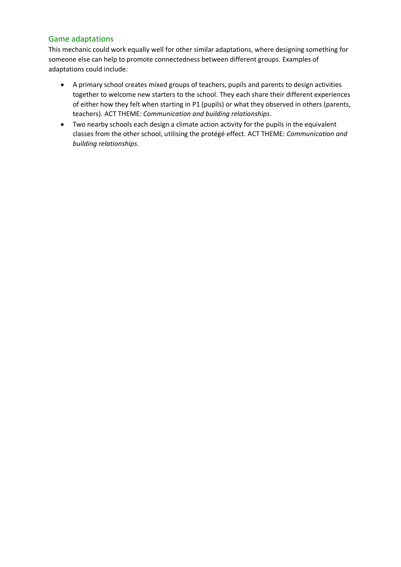## Game adaptations

This mechanic could work equally well for other similar adaptations, where designing something for someone else can help to promote connectedness between different groups. Examples of adaptations could include:

- A primary school creates mixed groups of teachers, pupils and parents to design activities together to welcome new starters to the school. They each share their different experiences of either how they felt when starting in P1 (pupils) or what they observed in others (parents, teachers). ACT THEME: *Communication and building relationships*.
- Two nearby schools each design a climate action activity for the pupils in the equivalent classes from the other school, utilising the protégé effect. ACT THEME: *Communication and building relationships*.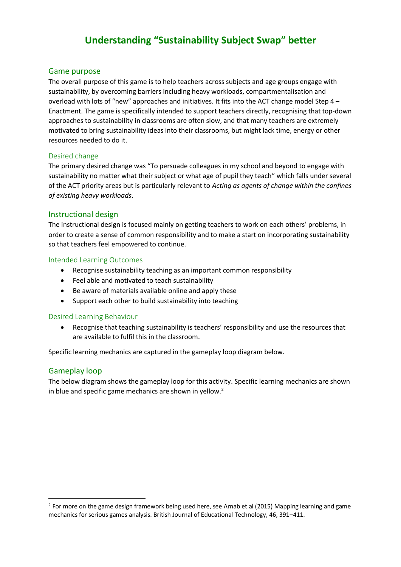# **Understanding "Sustainability Subject Swap" better**

#### Game purpose

The overall purpose of this game is to help teachers across subjects and age groups engage with sustainability, by overcoming barriers including heavy workloads, compartmentalisation and overload with lots of "new" approaches and initiatives. It fits into the ACT change model Step 4 – Enactment. The game is specifically intended to support teachers directly, recognising that top-down approaches to sustainability in classrooms are often slow, and that many teachers are extremely motivated to bring sustainability ideas into their classrooms, but might lack time, energy or other resources needed to do it.

#### Desired change

The primary desired change was "To persuade colleagues in my school and beyond to engage with sustainability no matter what their subject or what age of pupil they teach" which falls under several of the ACT priority areas but is particularly relevant to *Acting as agents of change within the confines of existing heavy workloads*.

#### Instructional design

The instructional design is focused mainly on getting teachers to work on each others' problems, in order to create a sense of common responsibility and to make a start on incorporating sustainability so that teachers feel empowered to continue.

#### Intended Learning Outcomes

- Recognise sustainability teaching as an important common responsibility
- Feel able and motivated to teach sustainability
- Be aware of materials available online and apply these
- Support each other to build sustainability into teaching

#### Desired Learning Behaviour

• Recognise that teaching sustainability is teachers' responsibility and use the resources that are available to fulfil this in the classroom.

Specific learning mechanics are captured in the gameplay loop diagram below.

#### Gameplay loop

**.** 

The below diagram shows the gameplay loop for this activity. Specific learning mechanics are shown in blue and specific game mechanics are shown in yellow.<sup>2</sup>

 $2$  For more on the game design framework being used here, see Arnab et al (2015) Mapping learning and game mechanics for serious games analysis. British Journal of Educational Technology, 46, 391–411.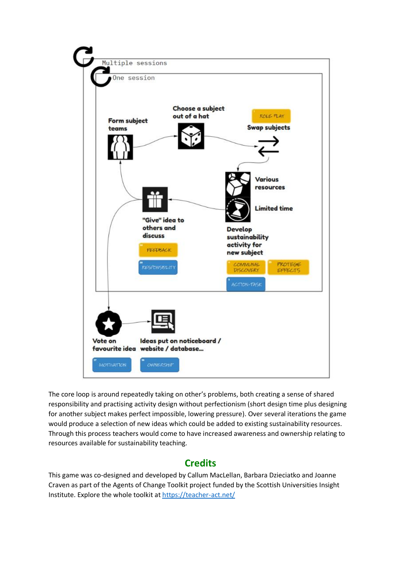

The core loop is around repeatedly taking on other's problems, both creating a sense of shared responsibility and practising activity design without perfectionism (short design time plus designing for another subject makes perfect impossible, lowering pressure). Over several iterations the game would produce a selection of new ideas which could be added to existing sustainability resources. Through this process teachers would come to have increased awareness and ownership relating to resources available for sustainability teaching.

# **Credits**

This game was co-designed and developed by Callum MacLellan, Barbara Dzieciatko and Joanne Craven as part of the Agents of Change Toolkit project funded by the Scottish Universities Insight Institute. Explore the whole toolkit at<https://teacher-act.net/>